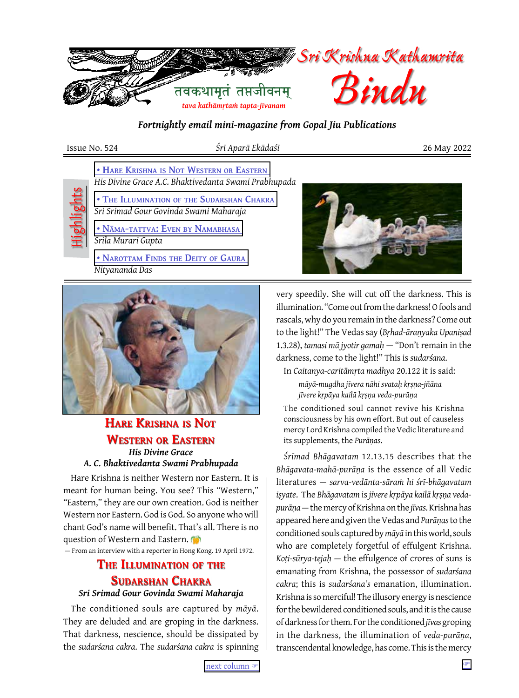

*Fortnightly email mini-magazine from Gopal Jiu Publications*

Issue No. 524 *Śrī Aparā Ekādaśī* 26 May 2022

 **[• Hare Krishna](#page-0-0) is Not Western or Eastern** *His Divine Grace A.C. Bhaktivedanta Swami Prabhupada*



 **• The Illumination of the [Sudarshan Chakra](#page-0-1)** *Sri Srimad Gour Govinda Swami Maharaja*

 **[• Nāma-tattva: Even](#page-1-0) by Namabhasa** *Srila Murari Gupta*

 **[• Narottam Finds](#page-2-0) the Deity of Gaura** *Nityananda Das*





# <span id="page-0-0"></span>*His Divine Grace*  **Hare Krishna is Not Western or Eastern**

# *A. C. Bhaktivedanta Swami Prabhupada*

Hare Krishna is neither Western nor Eastern. It is meant for human being. You see? This "Western," "Eastern," they are our own creation. God is neither Western nor Eastern. God is God. So anyone who will chant God's name will benefit. That's all. There is no question of Western and Eastern.

— From an interview with a reporter in Hong Kong. 19 April 1972.

# <span id="page-0-1"></span>**The Illumination of the Sudarshan Chakra**

### *Sri Srimad Gour Govinda Swami Maharaja*

The conditioned souls are captured by *māyā*. They are deluded and are groping in the darkness. That darkness, nescience, should be dissipated by the *sudarśana cakra*. The *sudarśana cakra* is spinning very speedily. She will cut off the darkness. This is illumination. "Come out from the darkness! O fools and rascals, why do you remain in the darkness? Come out to the light!" The Vedas say (*Bṛhad-āraṇyaka Upaniṣad* 1.3.28), *tamasi mā jyotir gamaḥ* — "Don't remain in the darkness, come to the light!" This is *sudarśana*.

In *Caitanya-caritāmṛta madhya* 20.122 it is said:

*māyā-mugdha jīvera nāhi svataḥ kṛṣṇa-jñāna jīvere kṛpāya kailā kṛṣṇa veda-purāṇa*

The conditioned soul cannot revive his Krishna consciousness by his own effort. But out of causeless mercy Lord Krishna compiled the Vedic literature and its supplements, the *Purāṇas*.

*Śrīmad Bhāgavatam* 12.13.15 describes that the *Bhāgavata-mahā-purāṇa* is the essence of all Vedic literatures — *sarva-vedānta-sāraṁ hi śrī-bhāgavatam iṣyate*. The *Bhāgavatam* is *jīvere kṛpāya kailā kṛṣṇa vedapurāṇa* — the mercy of Krishna on the *jīvas*. Krishna has appeared here and given the Vedas and *Purāṇas* to the conditioned souls captured by *māyā* in this world, souls who are completely forgetful of effulgent Krishna. *Koṭi-sūrya-tejaḥ* — the effulgence of crores of suns is emanating from Krishna, the possessor of *sudarśana cakra*; this is *sudarśana's* emanation, illumination. Krishna is so merciful! The illusory energy is nescience for the bewildered conditioned souls, and it is the cause of darkness for them. For the conditioned *jīvas* groping in the darkness, the illumination of *veda-purāṇa*, transcendental knowledge, has come. This is the mercy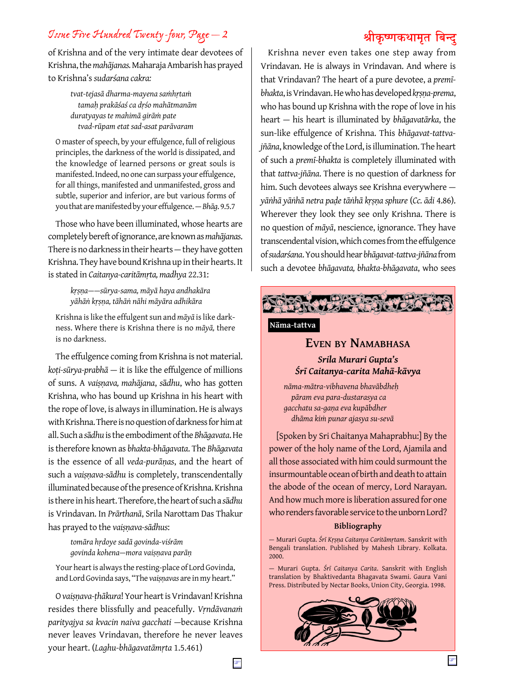# *Issue Five Hundred Twenty-four, Page — 2* **श्रीकृ ष्णकथामृत बिन्दु**

of Krishna and of the very intimate dear devotees of Krishna, the *mahājanas.* Maharaja Ambarish has prayed to Krishna's *sudarśana cakra:*

> *tvat-tejasā dharma-mayena saṁhṛtaṁ tamaḥ prakāśaś ca dṛśo mahātmanām duratyayas te mahimā girāṁ pate tvad-rūpam etat sad-asat parāvaram*

O master of speech, by your effulgence, full of religious principles, the darkness of the world is dissipated, and the knowledge of learned persons or great souls is manifested. Indeed, no one can surpass your effulgence, for all things, manifested and unmanifested, gross and subtle, superior and inferior, are but various forms of you that are manifested by your effulgence. — *Bhāg*. 9.5.7

Those who have been illuminated, whose hearts are completely bereft of ignorance, are known as *mahājanas*. There is no darkness in their hearts — they have gotten Krishna. They have bound Krishna up in their hearts. It is stated in *Caitanya-caritāmṛta, madhya* 22.31:

> *kṛṣṇa——sūrya-sama, māyā haya andhakāra yāhāṅ kṛṣṇa, tāhāṅ nāhi māyāra adhikāra*

Krishna is like the effulgent sun and *māyā* is like darkness. Where there is Krishna there is no *māyā,* there is no darkness.

The effulgence coming from Krishna is not material. *koṭi-sūrya-prabhā* — it is like the effulgence of millions of suns. A *vaiṣṇava, mahājana*, *s*ā*dhu*, who has gotten Krishna, who has bound up Krishna in his heart with the rope of love, is always in illumination. He is always with Krishna. There is no question of darkness for him at all. Such a *s*ā*dhu* is the embodiment of the *Bhāgavata*. He is therefore known as *bhakta-bhāgavata*. The *Bhāgavata* is the essence of all *veda-purāṇas*, and the heart of such a *vaiṣṇava-sādhu* is completely, transcendentally illuminated because of the presence of Krishna. Krishna is there in his heart. Therefore, the heart of such a *s*ā*dhu* is Vrindavan. In *Prārthanā*, Srila Narottam Das Thakur has prayed to the *vaiṣṇava-sādhus*:

> *tomāra hṛdoye sadā govinda-viśrām govinda kohena—mora vaiṣṇava parāṇ*

Your heart is always the resting-place of Lord Govinda, and Lord Govinda says, "The *vaiṣṇavas* are in my heart."

O *vaiṣṇava-ṭhākura*! Your heart is Vrindavan! Krishna resides there blissfully and peacefully. *Vṛndāvanaṁ parityajya sa kvacin naiva gacchati* —because Krishna never leaves Vrindavan, therefore he never leaves your heart. (*Laghu-bhāgavatāmṛta* 1.5.461)

Krishna never even takes one step away from Vrindavan. He is always in Vrindavan. And where is that Vrindavan? The heart of a pure devotee, a *premībhakta*, is Vrindavan. He who has developed *kṛṣṇa-prema*, who has bound up Krishna with the rope of love in his heart — his heart is illuminated by *bhāgavatārka*, the sun-like effulgence of Krishna. This *bhāgavat-tattvajñāna*, knowledge of the Lord, is illumination. The heart of such a *premī-bhakta* is completely illuminated with that *tattva-jñāna*. There is no question of darkness for him. Such devotees always see Krishna everywhere *yāṅhā yāṅhā netra paḍe tāṅhā kṛṣṇa sphure* (*Cc. ādi* 4.86). Wherever they look they see only Krishna. There is no question of *māyā*, nescience, ignorance. They have transcendental vision, which comes from the effulgence of *sudarśana*. You should hear *bhāgavat-tattva-jñāna* from such a devotee *bhāgavata, bhakta-bhāgavata*, who sees



### **Nāma-tattva**

# <span id="page-1-0"></span>**Even by Namabhasa**

*Srila Murari Gupta's Śrī Caitanya-carita Mahā-kāvya*

*nāma-mātra-vibhavena bhavābdheḥ pāram eva para-dustarasya ca gacchatu sa-gaṇa eva kupābdher dhāma kiṁ punar ajasya su-sevā*

[Spoken by Sri Chaitanya Mahaprabhu:] By the power of the holy name of the Lord, Ajamila and all those associated with him could surmount the insurmountable ocean of birth and death to attain the abode of the ocean of mercy, Lord Narayan. And how much more is liberation assured for one who renders favorable service to the unborn Lord?

### **Bibliography**

— Murari Gupta. *Śrī Kṛṣṇa Caitanya Caritāmṛtam*. Sanskrit with Bengali translation. Published by Mahesh Library. Kolkata. 2000.

— Murari Gupta. *Śrī Caitanya Carita*. Sanskrit with English translation by Bhaktivedanta Bhagavata Swami. Gaura Vani Press. Distributed by Nectar Books, Union City, Georgia. 1998.

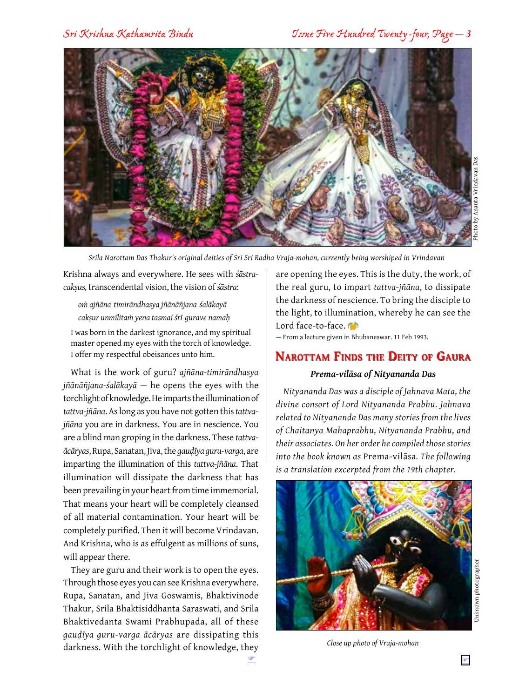

*Srila Narottam Das Thakur's original deities of Sri Sri Radha Vraja-mohan, currently being worshiped in Vrindavan*

Krishna always and everywhere. He sees with *śāstracakṣus,* transcendental vision, the vision of *śāstra*:

*oṁ ajñāna-timirāndhasya jñānāñjana-śalākayā cakṣur unmīlitaṁ yena tasmai śrī-gurave namaḥ*

I was born in the darkest ignorance, and my spiritual master opened my eyes with the torch of knowledge. I offer my respectful obeisances unto him.

What is the work of guru? *ajñāna-timirāndhasya jñānāñjana-śalākayā* — he opens the eyes with the torchlight of knowledge. He imparts the illumination of *tattva-jñāna*. As long as you have not gotten this *tattvajñāna* you are in darkness. You are in nescience. You are a blind man groping in the darkness. These *tattvaācāryas*, Rupa, Sanatan, Jiva, the *gauḍīya guru-varga*, are imparting the illumination of this *tattva-jñāna*. That illumination will dissipate the darkness that has been prevailing in your heart from time immemorial. That means your heart will be completely cleansed of all material contamination. Your heart will be completely purified. Then it will become Vrindavan. And Krishna, who is as effulgent as millions of suns, will appear there.

They are guru and their work is to open the eyes. Through those eyes you can see Krishna everywhere. Rupa, Sanatan, and Jiva Goswamis, Bhaktivinode Thakur, Srila Bhaktisiddhanta Saraswati, and Srila Bhaktivedanta Swami Prabhupada, all of these *gauḍīya guru-varga ācāryas* are dissipating this darkness. With the torchlight of knowledge, they are opening the eyes. This is the duty, the work, of the real guru, to impart *tattva-jñāna*, to dissipate the darkness of nescience. To bring the disciple to the light, to illumination, whereby he can see the Lord face-to-face.

— From a lecture given in Bhubaneswar. 11 Feb 1993.

# <span id="page-2-0"></span>**Narottam Finds the Deity of Gaura**

### *Prema-vilāsa of Nityananda Das*

*Nityananda Das was a disciple of Jahnava Mata, the divine consort of Lord Nityananda Prabhu. Jahnava related to Nityananda Das many stories from the lives of Chaitanya Mahaprabhu, Nityananda Prabhu, and their associates. On her order he compiled those stories into the book known as* Prema-vilāsa*. The following is a translation excerpted from the 19th chapter.*



*Close up photo of Vraja-mohan*